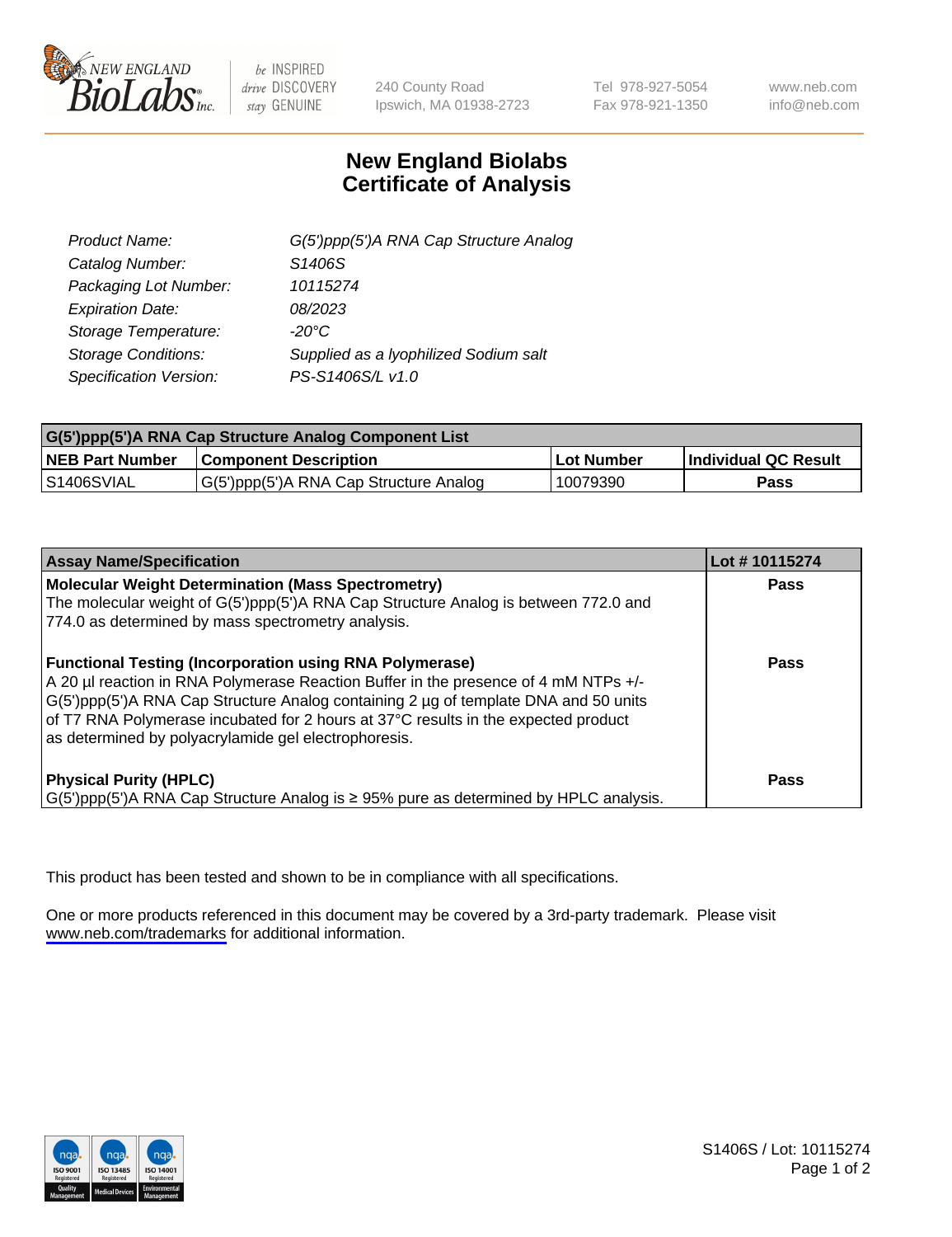

be INSPIRED drive DISCOVERY stay GENUINE

240 County Road Ipswich, MA 01938-2723 Tel 978-927-5054 Fax 978-921-1350

www.neb.com info@neb.com

## **New England Biolabs Certificate of Analysis**

| G(5')ppp(5')A RNA Cap Structure Analog |
|----------------------------------------|
| S1406S                                 |
| 10115274                               |
| 08/2023                                |
| $-20^{\circ}$ C                        |
| Supplied as a lyophilized Sodium salt  |
| PS-S1406S/L v1.0                       |
|                                        |

| G(5')ppp(5')A RNA Cap Structure Analog Component List |                                        |                   |                             |  |
|-------------------------------------------------------|----------------------------------------|-------------------|-----------------------------|--|
| <b>NEB Part Number</b>                                | <b>Component Description</b>           | <b>Lot Number</b> | <b>Individual QC Result</b> |  |
| IS1406SVIAL                                           | G(5')ppp(5')A RNA Cap Structure Analog | 10079390          | Pass                        |  |

| <b>Assay Name/Specification</b>                                                                                                                                                                                                                                                                                                                                                            | Lot #10115274 |
|--------------------------------------------------------------------------------------------------------------------------------------------------------------------------------------------------------------------------------------------------------------------------------------------------------------------------------------------------------------------------------------------|---------------|
| <b>Molecular Weight Determination (Mass Spectrometry)</b><br>The molecular weight of G(5')ppp(5')A RNA Cap Structure Analog is between 772.0 and<br>774.0 as determined by mass spectrometry analysis.                                                                                                                                                                                     | Pass          |
| <b>Functional Testing (Incorporation using RNA Polymerase)</b><br>A 20 µl reaction in RNA Polymerase Reaction Buffer in the presence of 4 mM NTPs +/-<br>G(5')ppp(5')A RNA Cap Structure Analog containing 2 µg of template DNA and 50 units<br>of T7 RNA Polymerase incubated for 2 hours at 37°C results in the expected product<br>as determined by polyacrylamide gel electrophoresis. | Pass          |
| <b>Physical Purity (HPLC)</b><br>$G(5')$ ppp(5')A RNA Cap Structure Analog is $\geq$ 95% pure as determined by HPLC analysis.                                                                                                                                                                                                                                                              | Pass          |

This product has been tested and shown to be in compliance with all specifications.

One or more products referenced in this document may be covered by a 3rd-party trademark. Please visit <www.neb.com/trademarks>for additional information.